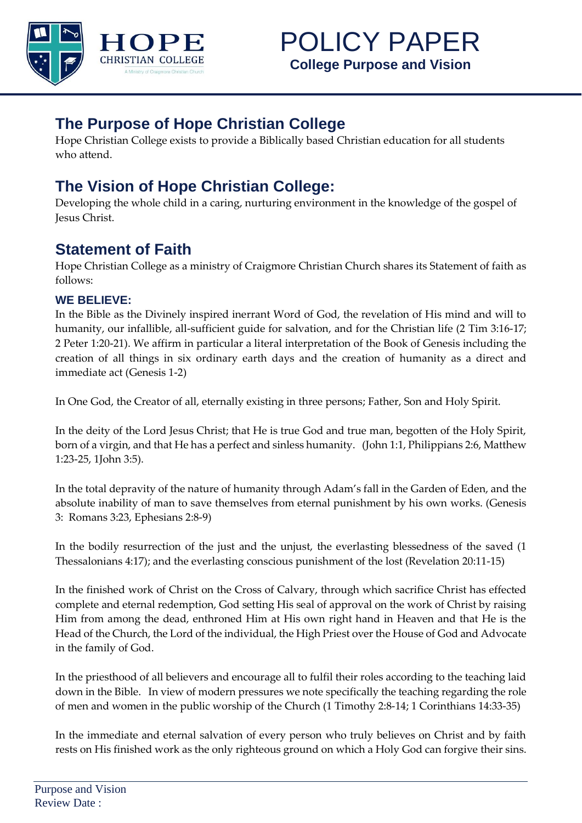

## **The Purpose of Hope Christian College**

Hope Christian College exists to provide a Biblically based Christian education for all students who attend.

## **The Vision of Hope Christian College:**

Developing the whole child in a caring, nurturing environment in the knowledge of the gospel of Jesus Christ.

## **Statement of Faith**

Hope Christian College as a ministry of Craigmore Christian Church shares its Statement of faith as follows:

## **WE BELIEVE:**

In the Bible as the Divinely inspired inerrant Word of God, the revelation of His mind and will to humanity, our infallible, all-sufficient guide for salvation, and for the Christian life (2 Tim 3:16-17; 2 Peter 1:20-21). We affirm in particular a literal interpretation of the Book of Genesis including the creation of all things in six ordinary earth days and the creation of humanity as a direct and immediate act (Genesis 1-2)

In One God, the Creator of all, eternally existing in three persons; Father, Son and Holy Spirit.

In the deity of the Lord Jesus Christ; that He is true God and true man, begotten of the Holy Spirit, born of a virgin, and that He has a perfect and sinless humanity. (John 1:1, Philippians 2:6, Matthew 1:23-25, 1John 3:5).

In the total depravity of the nature of humanity through Adam's fall in the Garden of Eden, and the absolute inability of man to save themselves from eternal punishment by his own works. (Genesis 3: Romans 3:23, Ephesians 2:8-9)

In the bodily resurrection of the just and the unjust, the everlasting blessedness of the saved (1 Thessalonians 4:17); and the everlasting conscious punishment of the lost (Revelation 20:11-15)

In the finished work of Christ on the Cross of Calvary, through which sacrifice Christ has effected complete and eternal redemption, God setting His seal of approval on the work of Christ by raising Him from among the dead, enthroned Him at His own right hand in Heaven and that He is the Head of the Church, the Lord of the individual, the High Priest over the House of God and Advocate in the family of God.

In the priesthood of all believers and encourage all to fulfil their roles according to the teaching laid down in the Bible. In view of modern pressures we note specifically the teaching regarding the role of men and women in the public worship of the Church (1 Timothy 2:8-14; 1 Corinthians 14:33-35)

In the immediate and eternal salvation of every person who truly believes on Christ and by faith rests on His finished work as the only righteous ground on which a Holy God can forgive their sins.